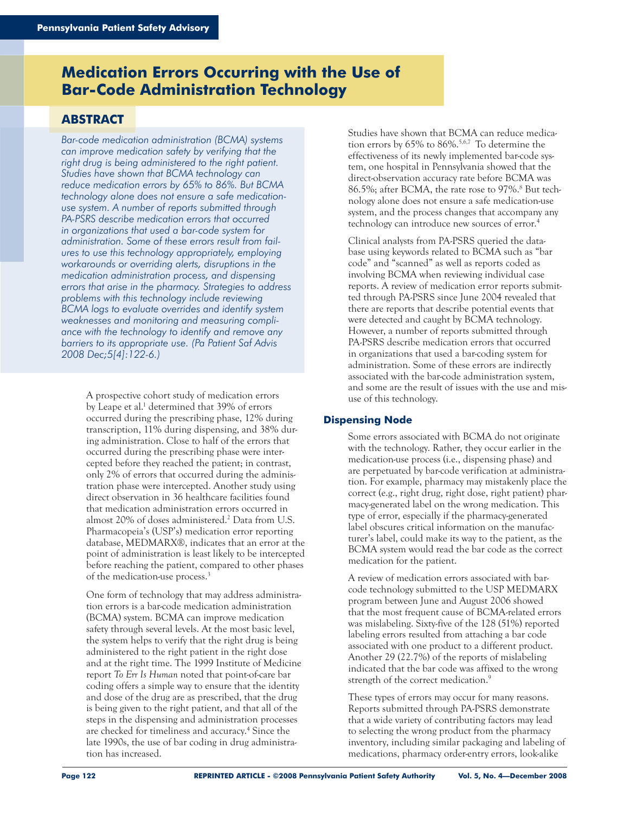## **Medication Errors Occurring with the Use of Bar-Code Administration Technology**

### **ABSTRACT**

*Bar-code medication administration (BCMA) systems can improve medication safety by verifying that the right drug is being administered to the right patient. Studies have shown that BCMA technology can reduce medication errors by 65% to 86%. But BCMA technology alone does not ensure a safe medicationuse system. A number of reports submitted through PA-PSRS describe medication errors that occurred in organizations that used a bar-code system for administration. Some of these errors result from failures to use this technology appropriately, employing workarounds or overriding alerts, disruptions in the medication administration process, and dispensing errors that arise in the pharmacy. Strategies to address problems with this technology include reviewing BCMA logs to evaluate overrides and identify system weaknesses and monitoring and measuring compliance with the technology to identify and remove any barriers to its appropriate use. (Pa Patient Saf Advis 2008 Dec;5[4]:122-6.)*

> A prospective cohort study of medication errors by Leape et al.<sup>1</sup> determined that 39% of errors occurred during the prescribing phase, 12% during transcription, 11% during dispensing, and 38% during administration. Close to half of the errors that occurred during the prescribing phase were intercepted before they reached the patient; in contrast, only 2% of errors that occurred during the administration phase were intercepted. Another study using direct observation in 36 healthcare facilities found that medication administration errors occurred in almost 20% of doses administered.2 Data from U.S. Pharmacopeia's (USP's) medication error reporting database, MEDMARX®, indicates that an error at the point of administration is least likely to be intercepted before reaching the patient, compared to other phases of the medication-use process.3

One form of technology that may address administration errors is a bar-code medication administration (BCMA) system. BCMA can improve medication safety through several levels. At the most basic level, the system helps to verify that the right drug is being administered to the right patient in the right dose and at the right time. The 1999 Institute of Medicine report *To Err Is Human* noted that point-of-care bar coding offers a simple way to ensure that the identity and dose of the drug are as prescribed, that the drug is being given to the right patient, and that all of the steps in the dispensing and administration processes are checked for timeliness and accuracy.<sup>4</sup> Since the late 1990s, the use of bar coding in drug administration has increased.

Studies have shown that BCMA can reduce medication errors by 65% to 86%.5,6,7 To determine the effectiveness of its newly implemented bar-code system, one hospital in Pennsylvania showed that the direct-observation accuracy rate before BCMA was 86.5%; after BCMA, the rate rose to 97%.<sup>8</sup> But technology alone does not ensure a safe medication-use system, and the process changes that accompany any technology can introduce new sources of error.4

Clinical analysts from PA-PSRS queried the database using keywords related to BCMA such as "bar code" and "scanned" as well as reports coded as involving BCMA when reviewing individual case reports. A review of medication error reports submitted through PA-PSRS since June 2004 revealed that there are reports that describe potential events that were detected and caught by BCMA technology. However, a number of reports submitted through PA-PSRS describe medication errors that occurred in organizations that used a bar-coding system for administration. Some of these errors are indirectly associated with the bar-code administration system, and some are the result of issues with the use and misuse of this technology.

#### **Dispensing Node**

Some errors associated with BCMA do not originate with the technology. Rather, they occur earlier in the medication-use process (i.e., dispensing phase) and are perpetuated by bar-code verification at administration. For example, pharmacy may mistakenly place the correct (e.g., right drug, right dose, right patient) pharmacy-generated label on the wrong medication. This type of error, especially if the pharmacy-generated label obscures critical information on the manufacturer's label, could make its way to the patient, as the BCMA system would read the bar code as the correct medication for the patient.

A review of medication errors associated with barcode technology submitted to the USP MEDMARX program between June and August 2006 showed that the most frequent cause of BCMA-related errors was mislabeling. Sixty-five of the 128 (51%) reported labeling errors resulted from attaching a bar code associated with one product to a different product. Another 29 (22.7%) of the reports of mislabeling indicated that the bar code was affixed to the wrong strength of the correct medication.<sup>9</sup>

These types of errors may occur for many reasons. Reports submitted through PA-PSRS demonstrate that a wide variety of contributing factors may lead to selecting the wrong product from the pharmacy inventory, including similar packaging and labeling of medications, pharmacy order-entry errors, look-alike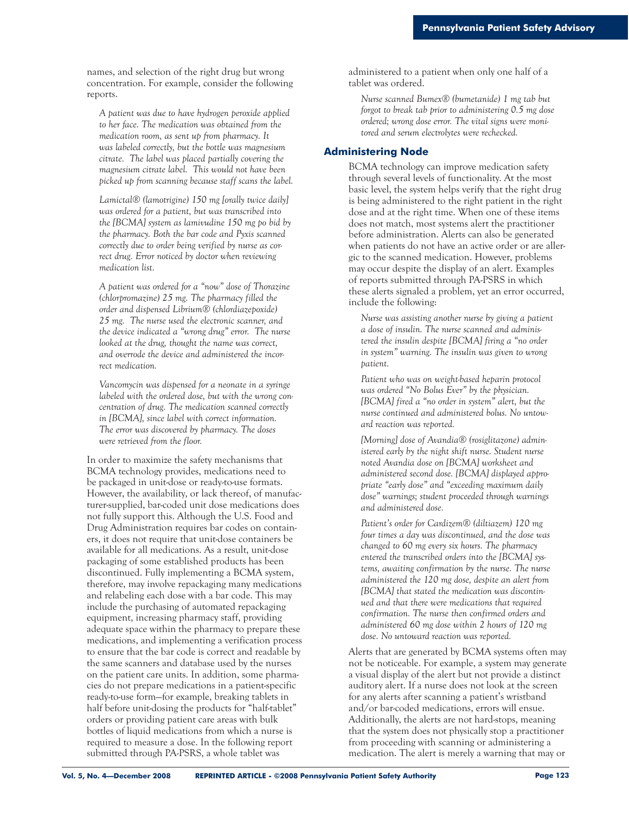names, and selection of the right drug but wrong concentration. For example, consider the following reports.

*A patient was due to have hydrogen peroxide applied to her face. The medication was obtained from the medication room, as sent up from pharmacy. It was labeled correctly, but the bottle was magnesium citrate. The label was placed partially covering the magnesium citrate label. This would not have been picked up from scanning because staff scans the label.* 

*Lamictal® (lamotrigine) 150 mg [orally twice daily] was ordered for a patient, but was transcribed into the [BCMA] system as lamivudine 150 mg po bid by the pharmacy. Both the bar code and Pyxis scanned correctly due to order being verified by nurse as correct drug. Error noticed by doctor when reviewing medication list.* 

*A patient was ordered for a "now" dose of Thorazine (chlorpromazine) 25 mg. The pharmacy filled the order and dispensed Librium® (chlordiazepoxide) 25 mg. The nurse used the electronic scanner, and the device indicated a "wrong drug" error. The nurse looked at the drug, thought the name was correct, and overrode the device and administered the incorrect medication.*

*Vancomycin was dispensed for a neonate in a syringe labeled with the ordered dose, but with the wrong concentration of drug. The medication scanned correctly in [BCMA], since label with correct information. The error was discovered by pharmacy. The doses were retrieved from the floor.* 

In order to maximize the safety mechanisms that BCMA technology provides, medications need to be packaged in unit-dose or ready-to-use formats. However, the availability, or lack thereof, of manufacturer-supplied, bar-coded unit dose medications does not fully support this. Although the U.S. Food and Drug Administration requires bar codes on containers, it does not require that unit-dose containers be available for all medications. As a result, unit-dose packaging of some established products has been discontinued. Fully implementing a BCMA system, therefore, may involve repackaging many medications and relabeling each dose with a bar code. This may include the purchasing of automated repackaging equipment, increasing pharmacy staff, providing adequate space within the pharmacy to prepare these medications, and implementing a verification process to ensure that the bar code is correct and readable by the same scanners and database used by the nurses on the patient care units. In addition, some pharmacies do not prepare medications in a patient-specific ready-to-use form—for example, breaking tablets in half before unit-dosing the products for "half-tablet" orders or providing patient care areas with bulk bottles of liquid medications from which a nurse is required to measure a dose. In the following report submitted through PA-PSRS, a whole tablet was

administered to a patient when only one half of a tablet was ordered.

*Nurse scanned Bumex® (bumetanide) 1 mg tab but forgot to break tab prior to administering 0.5 mg dose ordered; wrong dose error. The vital signs were monitored and serum electrolytes were rechecked.*

#### **Administering Node**

BCMA technology can improve medication safety through several levels of functionality. At the most basic level, the system helps verify that the right drug is being administered to the right patient in the right dose and at the right time. When one of these items does not match, most systems alert the practitioner before administration. Alerts can also be generated when patients do not have an active order or are allergic to the scanned medication. However, problems may occur despite the display of an alert. Examples of reports submitted through PA-PSRS in which these alerts signaled a problem, yet an error occurred, include the following:

*Nurse was assisting another nurse by giving a patient a dose of insulin. The nurse scanned and administered the insulin despite [BCMA] firing a "no order in system" warning. The insulin was given to wrong patient.*

*Patient who was on weight-based heparin protocol was ordered "No Bolus Ever" by the physician. [BCMA] fired a "no order in system" alert, but the nurse continued and administered bolus. No untoward reaction was reported.*

*[Morning] dose of Avandia® (rosiglitazone) administered early by the night shift nurse. Student nurse noted Avandia dose on [BCMA] worksheet and administered second dose. [BCMA] displayed appropriate "early dose" and "exceeding maximum daily dose" warnings; student proceeded through warnings and administered dose.*

*Patient's order for Cardizem® (diltiazem) 120 mg four times a day was discontinued, and the dose was changed to 60 mg every six hours. The pharmacy entered the transcribed orders into the [BCMA] systems, awaiting confirmation by the nurse. The nurse administered the 120 mg dose, despite an alert from [BCMA] that stated the medication was discontinued and that there were medications that required confirmation. The nurse then confirmed orders and administered 60 mg dose within 2 hours of 120 mg dose. No untoward reaction was reported.* 

Alerts that are generated by BCMA systems often may not be noticeable. For example, a system may generate a visual display of the alert but not provide a distinct auditory alert. If a nurse does not look at the screen for any alerts after scanning a patient's wristband and/or bar-coded medications, errors will ensue. Additionally, the alerts are not hard-stops, meaning that the system does not physically stop a practitioner from proceeding with scanning or administering a medication. The alert is merely a warning that may or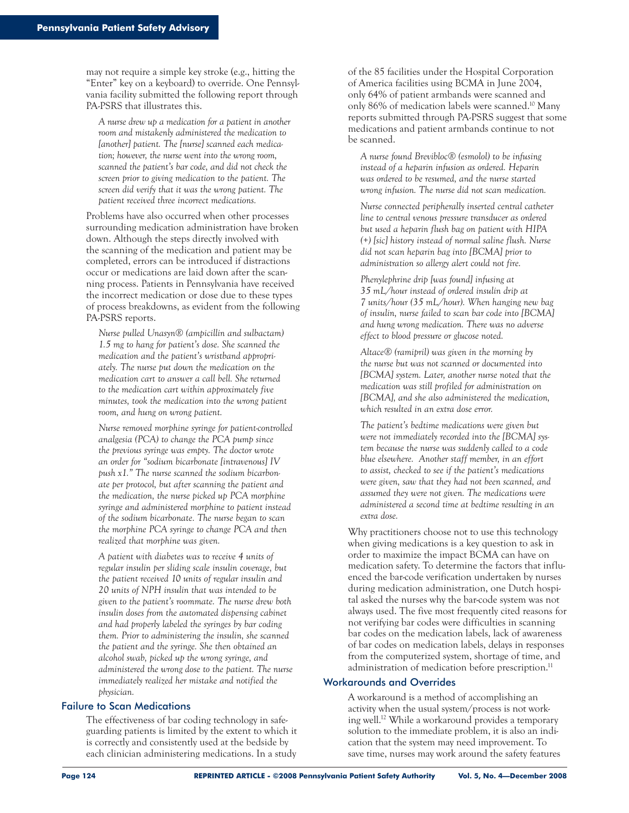may not require a simple key stroke (e.g., hitting the "Enter" key on a keyboard) to override. One Pennsylvania facility submitted the following report through PA-PSRS that illustrates this.

*A nurse drew up a medication for a patient in another room and mistakenly administered the medication to [another] patient. The [nurse] scanned each medication; however, the nurse went into the wrong room, scanned the patient's bar code, and did not check the screen prior to giving medication to the patient. The screen did verify that it was the wrong patient. The patient received three incorrect medications.* 

Problems have also occurred when other processes surrounding medication administration have broken down. Although the steps directly involved with the scanning of the medication and patient may be completed, errors can be introduced if distractions occur or medications are laid down after the scanning process. Patients in Pennsylvania have received the incorrect medication or dose due to these types of process breakdowns, as evident from the following PA-PSRS reports.

*Nurse pulled Unasyn® (ampicillin and sulbactam) 1.5 mg to hang for patient's dose. She scanned the medication and the patient's wristband appropriately. The nurse put down the medication on the medication cart to answer a call bell. She returned to the medication cart within approximately five minutes, took the medication into the wrong patient room, and hung on wrong patient.* 

*Nurse removed morphine syringe for patient-controlled analgesia (PCA) to change the PCA pump since the previous syringe was empty. The doctor wrote an order for "sodium bicarbonate [intravenous] IV push x1." The nurse scanned the sodium bicarbonate per protocol, but after scanning the patient and the medication, the nurse picked up PCA morphine syringe and administered morphine to patient instead of the sodium bicarbonate. The nurse began to scan the morphine PCA syringe to change PCA and then realized that morphine was given.* 

*A patient with diabetes was to receive 4 units of regular insulin per sliding scale insulin coverage, but the patient received 10 units of regular insulin and 20 units of NPH insulin that was intended to be given to the patient's roommate. The nurse drew both insulin doses from the automated dispensing cabinet and had properly labeled the syringes by bar coding them. Prior to administering the insulin, she scanned the patient and the syringe. She then obtained an alcohol swab, picked up the wrong syringe, and administered the wrong dose to the patient. The nurse immediately realized her mistake and notified the physician.* 

#### Failure to Scan Medications

The effectiveness of bar coding technology in safeguarding patients is limited by the extent to which it is correctly and consistently used at the bedside by each clinician administering medications. In a study

of the 85 facilities under the Hospital Corporation of America facilities using BCMA in June 2004, only 64% of patient armbands were scanned and only 86% of medication labels were scanned.10 Many reports submitted through PA-PSRS suggest that some medications and patient armbands continue to not be scanned.

*A nurse found Brevibloc® (esmolol) to be infusing instead of a heparin infusion as ordered. Heparin was ordered to be resumed, and the nurse started wrong infusion. The nurse did not scan medication.*

*Nurse connected peripherally inserted central catheter line to central venous pressure transducer as ordered but used a heparin flush bag on patient with HIPA (+) [sic] history instead of normal saline flush. Nurse did not scan heparin bag into [BCMA] prior to administration so allergy alert could not fire.*

*Phenylephrine drip [was found] infusing at 35 mL/hour instead of ordered insulin drip at 7 units/hour (35 mL/hour). When hanging new bag of insulin, nurse failed to scan bar code into [BCMA] and hung wrong medication. There was no adverse effect to blood pressure or glucose noted.*

*Altace® (ramipril) was given in the morning by the nurse but was not scanned or documented into [BCMA] system. Later, another nurse noted that the medication was still profiled for administration on [BCMA], and she also administered the medication, which resulted in an extra dose error.* 

*The patient's bedtime medications were given but were not immediately recorded into the [BCMA] system because the nurse was suddenly called to a code blue elsewhere. Another staff member, in an effort to assist, checked to see if the patient's medications were given, saw that they had not been scanned, and assumed they were not given. The medications were administered a second time at bedtime resulting in an extra dose.*

Why practitioners choose not to use this technology when giving medications is a key question to ask in order to maximize the impact BCMA can have on medication safety. To determine the factors that influenced the bar-code verification undertaken by nurses during medication administration, one Dutch hospital asked the nurses why the bar-code system was not always used. The five most frequently cited reasons for not verifying bar codes were difficulties in scanning bar codes on the medication labels, lack of awareness of bar codes on medication labels, delays in responses from the computerized system, shortage of time, and administration of medication before prescription.<sup>11</sup>

#### Workarounds and Overrides

A workaround is a method of accomplishing an activity when the usual system/process is not working well.12 While a workaround provides a temporary solution to the immediate problem, it is also an indication that the system may need improvement. To save time, nurses may work around the safety features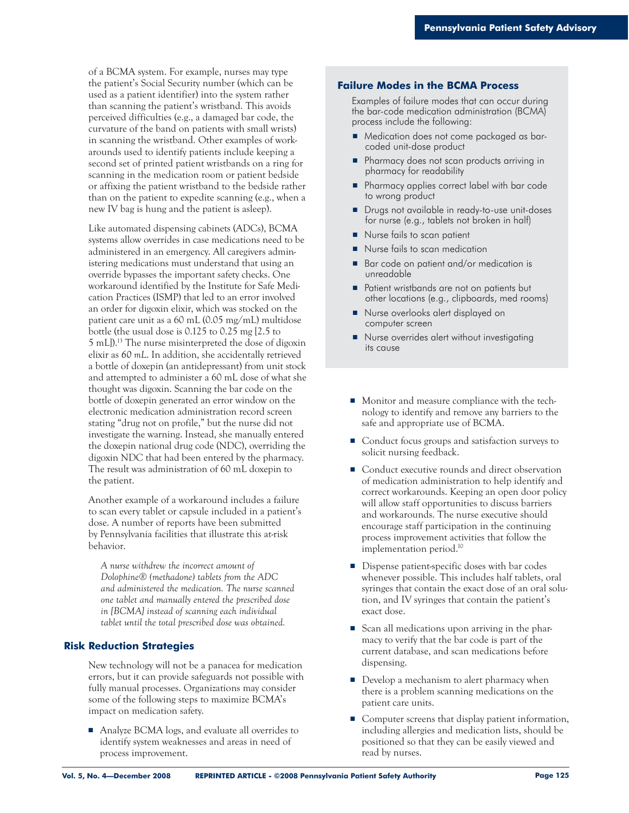of a BCMA system. For example, nurses may type the patient's Social Security number (which can be used as a patient identifier) into the system rather than scanning the patient's wristband. This avoids perceived difficulties (e.g., a damaged bar code, the curvature of the band on patients with small wrists) in scanning the wristband. Other examples of workarounds used to identify patients include keeping a second set of printed patient wristbands on a ring for scanning in the medication room or patient bedside or affixing the patient wristband to the bedside rather than on the patient to expedite scanning (e.g., when a new IV bag is hung and the patient is asleep).

Like automated dispensing cabinets (ADCs), BCMA systems allow overrides in case medications need to be administered in an emergency. All caregivers administering medications must understand that using an override bypasses the important safety checks. One workaround identified by the Institute for Safe Medication Practices (ISMP) that led to an error involved an order for digoxin elixir, which was stocked on the patient care unit as a 60 mL (0.05 mg/mL) multidose bottle (the usual dose is 0.125 to 0.25 mg [2.5 to 5 mL]).13 The nurse misinterpreted the dose of digoxin elixir as *60 mL*. In addition, she accidentally retrieved a bottle of doxepin (an antidepressant) from unit stock and attempted to administer a 60 mL dose of what she thought was digoxin. Scanning the bar code on the bottle of doxepin generated an error window on the electronic medication administration record screen stating "drug not on profile," but the nurse did not investigate the warning. Instead, she manually entered the doxepin national drug code (NDC), overriding the digoxin NDC that had been entered by the pharmacy. The result was administration of 60 mL doxepin to the patient.

Another example of a workaround includes a failure to scan every tablet or capsule included in a patient's dose. A number of reports have been submitted by Pennsylvania facilities that illustrate this at-risk behavior.

*A nurse withdrew the incorrect amount of Dolophine® (methadone) tablets from the ADC and administered the medication. The nurse scanned one tablet and manually entered the prescribed dose in [BCMA] instead of scanning each individual tablet until the total prescribed dose was obtained.* 

#### **Risk Reduction Strategies**

New technology will not be a panacea for medication errors, but it can provide safeguards not possible with fully manual processes. Organizations may consider some of the following steps to maximize BCMA's impact on medication safety.

■ Analyze BCMA logs, and evaluate all overrides to identify system weaknesses and areas in need of process improvement.

#### **Failure Modes in the BCMA Process**

Examples of failure modes that can occur during the bar-code medication administration (BCMA) process include the following:

- Medication does not come packaged as barcoded unit-dose product
- Pharmacy does not scan products arriving in pharmacy for readability
- Pharmacy applies correct label with bar code to wrong product
- Drugs not available in ready-to-use unit-doses for nurse (e.g., tablets not broken in half)
- Nurse fails to scan patient
- Nurse fails to scan medication
- Bar code on patient and/or medication is unreadable
- Patient wristbands are not on patients but other locations (e.g., clipboards, med rooms)
- Nurse overlooks alert displayed on computer screen
- Nurse overrides alert without investigating its cause
- Monitor and measure compliance with the technology to identify and remove any barriers to the safe and appropriate use of BCMA.
- Conduct focus groups and satisfaction surveys to solicit nursing feedback.
- Conduct executive rounds and direct observation of medication administration to help identify and correct workarounds. Keeping an open door policy will allow staff opportunities to discuss barriers and workarounds. The nurse executive should encourage staff participation in the continuing process improvement activities that follow the implementation period.10
- Dispense patient-specific doses with bar codes whenever possible. This includes half tablets, oral syringes that contain the exact dose of an oral solution, and IV syringes that contain the patient's exact dose.
- Scan all medications upon arriving in the pharmacy to verify that the bar code is part of the current database, and scan medications before dispensing.
- Develop a mechanism to alert pharmacy when there is a problem scanning medications on the patient care units.
- Computer screens that display patient information, including allergies and medication lists, should be positioned so that they can be easily viewed and read by nurses.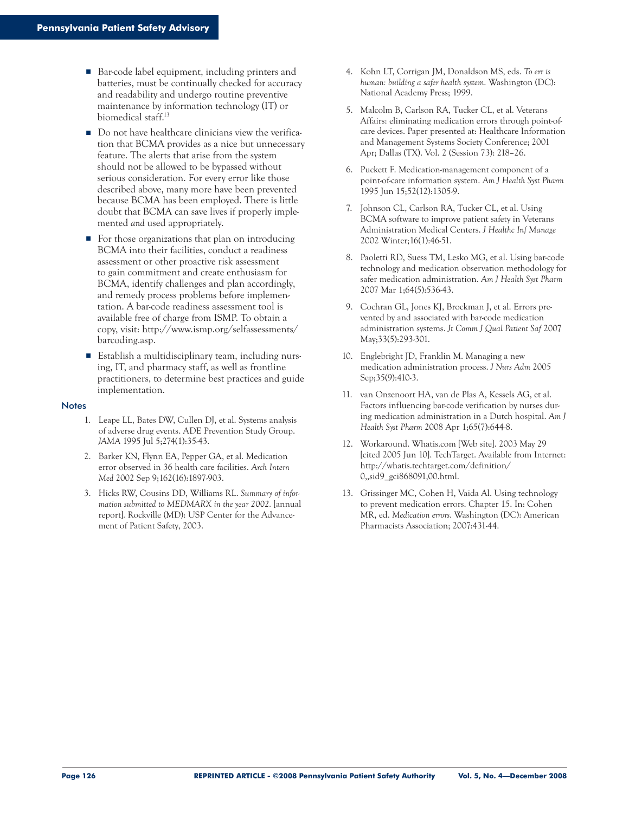- Bar-code label equipment, including printers and batteries, must be continually checked for accuracy and readability and undergo routine preventive maintenance by information technology (IT) or biomedical staff.13
- Do not have healthcare clinicians view the verification that BCMA provides as a nice but unnecessary feature. The alerts that arise from the system should not be allowed to be bypassed without serious consideration. For every error like those described above, many more have been prevented because BCMA has been employed. There is little doubt that BCMA can save lives if properly implemented *and* used appropriately.
- For those organizations that plan on introducing BCMA into their facilities, conduct a readiness assessment or other proactive risk assessment to gain commitment and create enthusiasm for BCMA, identify challenges and plan accordingly, and remedy process problems before implementation. A bar-code readiness assessment tool is available free of charge from ISMP. To obtain a copy, visit: http://www.ismp.org/selfassessments/ barcoding.asp.
- Establish a multidisciplinary team, including nursing, IT, and pharmacy staff, as well as frontline practitioners, to determine best practices and guide implementation.

#### **Notes**

- 1. Leape LL, Bates DW, Cullen DJ, et al. Systems analysis of adverse drug events. ADE Prevention Study Group. *JAMA* 1995 Jul 5;274(1):35-43.
- 2. Barker KN, Flynn EA, Pepper GA, et al. Medication error observed in 36 health care facilities. *Arch Intern Med* 2002 Sep 9;162(16):1897-903.
- 3. Hicks RW, Cousins DD, Williams RL. *Summary of information submitted to MEDMARX in the year 2002.* [annual report]*.* Rockville (MD): USP Center for the Advancement of Patient Safety, 2003.
- 4. Kohn LT, Corrigan JM, Donaldson MS, eds. *To err is human: building a safer health system*. Washington (DC): National Academy Press; 1999.
- 5. Malcolm B, Carlson RA, Tucker CL, et al. Veterans Affairs: eliminating medication errors through point-ofcare devices. Paper presented at: Healthcare Information and Management Systems Society Conference; 2001 Apr; Dallas (TX). Vol. 2 (Session 73): 218–26.
- 6. Puckett F. Medication-management component of a point-of-care information system. *Am J Health Syst Pharm* 1995 Jun 15;52(12):1305-9.
- 7. Johnson CL, Carlson RA, Tucker CL, et al. Using BCMA software to improve patient safety in Veterans Administration Medical Centers. *J Healthc Inf Manage* 2002 Winter;16(1):46-51.
- 8. Paoletti RD, Suess TM, Lesko MG, et al. Using bar-code technology and medication observation methodology for safer medication administration. *Am J Health Syst Pharm* 2007 Mar 1;64(5):536-43.
- 9. Cochran GL, Jones KJ, Brockman J, et al. Errors prevented by and associated with bar-code medication administration systems. *Jt Comm J Qual Patient Saf* 2007 May;33(5):293-301.
- 10. Englebright JD, Franklin M. Managing a new medication administration process. *J Nurs Adm* 2005 Sep;35(9):410-3.
- 11. van Onzenoort HA, van de Plas A, Kessels AG, et al. Factors influencing bar-code verification by nurses during medication administration in a Dutch hospital. *Am J Health Syst Pharm* 2008 Apr 1;65(7):644-8.
- 12. Workaround. Whatis.com [Web site]. 2003 May 29 [cited 2005 Jun 10]. TechTarget. Available from Internet: http://whatis.techtarget.com/definition/ 0,,sid9\_gci868091,00.html.
- 13. Grissinger MC, Cohen H, Vaida Al. Using technology to prevent medication errors. Chapter 15. In: Cohen MR, ed. *Medication errors.* Washington (DC): American Pharmacists Association; 2007:431-44.